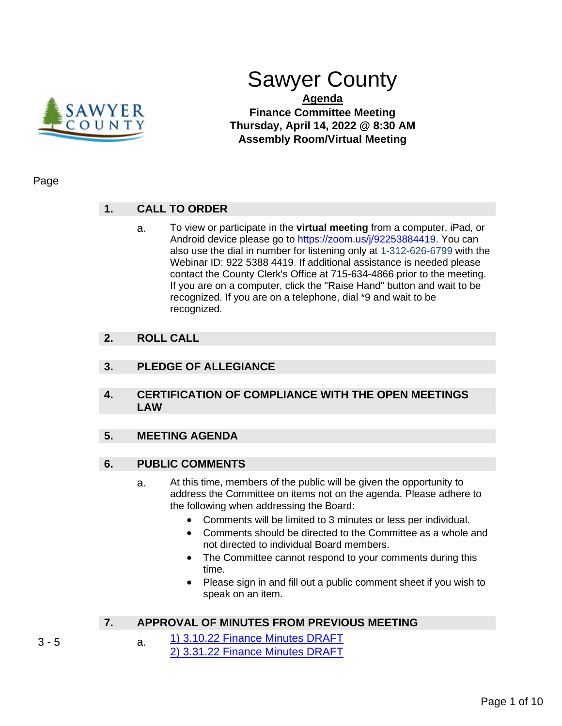

# Sawyer County

# **Agenda Finance Committee Meeting Thursday, April 14, 2022 @ 8:30 AM Assembly Room/Virtual Meeting**

### Page

# **1. CALL TO ORDER**

a. To view or participate in the **virtual meeting** from a computer, iPad, or Android device please go to https://zoom.us/j/92253884419. You can also use the dial in number for listening only at 1-312-626-6799 with the Webinar ID: 922 5388 4419. If additional assistance is needed please contact the County Clerk's Office at 715-634-4866 prior to the meeting. If you are on a computer, click the "Raise Hand" button and wait to be recognized. If you are on a telephone, dial \*9 and wait to be recognized.

# **2. ROLL CALL**

# **3. PLEDGE OF ALLEGIANCE**

**4. CERTIFICATION OF COMPLIANCE WITH THE OPEN MEETINGS LAW**

# **5. MEETING AGENDA**

# **6. PUBLIC COMMENTS**

- a. At this time, members of the public will be given the opportunity to address the Committee on items not on the agenda. Please adhere to the following when addressing the Board:
	- Comments will be limited to 3 minutes or less per individual.
	- Comments should be directed to the Committee as a whole and not directed to individual Board members.
	- The Committee cannot respond to your comments during this time.
	- Please sign in and fill out a public comment sheet if you wish to speak on an item.

# **7. APPROVAL OF MINUTES FROM PREVIOUS MEETING**

3 - 5 **a.** [1\) 3.10.22 Finance Minutes DRAFT](#page-2-0) [2\) 3.31.22 Finance Minutes DRAFT](#page-4-0)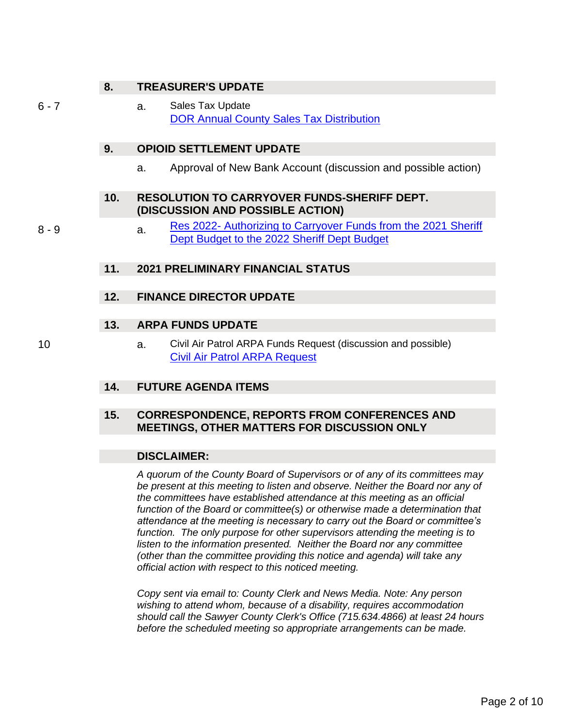# **8. TREASURER'S UPDATE**

#### 6 - 7 a. Sales Tax Update [DOR Annual County Sales Tax Distribution](#page-5-0)

# **9. OPIOID SETTLEMENT UPDATE**

a. Approval of New Bank Account (discussion and possible action)

#### **10. RESOLUTION TO CARRYOVER FUNDS-SHERIFF DEPT. (DISCUSSION AND POSSIBLE ACTION)**

8 - 9 a. Res 2022- Authorizing to Carryover Funds from the 2021 Sheriff [Dept Budget to the 2022 Sheriff Dept Budget](#page-7-0)

### **11. 2021 PRELIMINARY FINANCIAL STATUS**

### **12. FINANCE DIRECTOR UPDATE**

### **13. ARPA FUNDS UPDATE**

10 a. Civil Air Patrol ARPA Funds Request (discussion and possible) [Civil Air Patrol ARPA Request](#page-9-0)

#### **14. FUTURE AGENDA ITEMS**

# **15. CORRESPONDENCE, REPORTS FROM CONFERENCES AND MEETINGS, OTHER MATTERS FOR DISCUSSION ONLY**

#### **DISCLAIMER:**

*A quorum of the County Board of Supervisors or of any of its committees may be present at this meeting to listen and observe. Neither the Board nor any of the committees have established attendance at this meeting as an official function of the Board or committee(s) or otherwise made a determination that attendance at the meeting is necessary to carry out the Board or committee's function. The only purpose for other supervisors attending the meeting is to listen to the information presented. Neither the Board nor any committee (other than the committee providing this notice and agenda) will take any official action with respect to this noticed meeting.*

*Copy sent via email to: County Clerk and News Media. Note: Any person wishing to attend whom, because of a disability, requires accommodation should call the Sawyer County Clerk's Office (715.634.4866) at least 24 hours before the scheduled meeting so appropriate arrangements can be made.*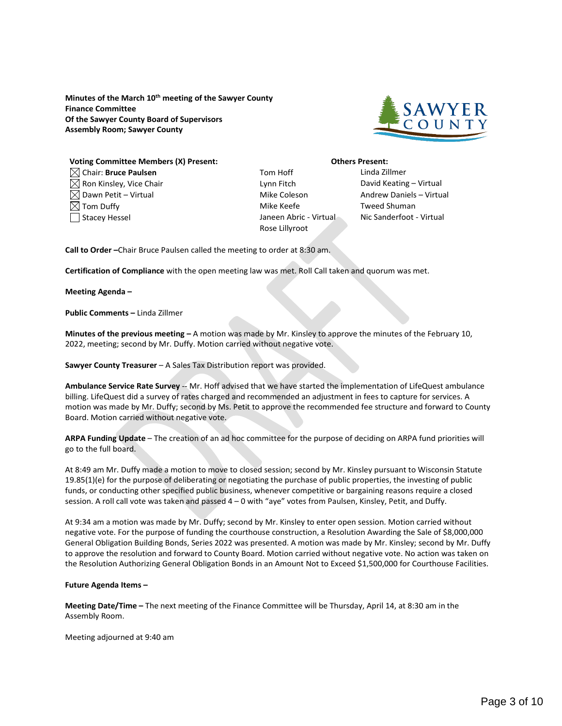<span id="page-2-0"></span>**Minutes of the March 10th meeting of the Sawyer County Finance Committee Of the Sawyer County Board of Supervisors Assembly Room; Sawyer County**



#### **Voting Committee Members (X) Present: Others Present:** Chair: **Bruce Paulsen** Tom Hoff Linda Zillmer  $\boxtimes$  Ron Kinsley, Vice Chair Letter Letter Lynn Fitch  $\blacksquare$  David Keating – Virtual  $\boxtimes$  Dawn Petit – Virtual  $\blacksquare$  and  $\blacksquare$  and  $\blacksquare$  and  $\blacksquare$  and  $\blacksquare$  and  $\blacksquare$  and  $\blacksquare$  and  $\blacksquare$  and  $\blacksquare$  and  $\blacksquare$  and  $\blacksquare$  and  $\blacksquare$  and  $\blacksquare$  and  $\blacksquare$  and  $\blacksquare$  and  $\blacksquare$  and  $\blacksquare$  and  $\blacksquare$

- 
- $\boxtimes$  Tom Duffy  $\blacksquare$  Tom Duffy the Mike Keefe the Tweed Shuman Stacey Hessel **Janeen Abric - Virtual Nic Sanderfoot - Virtual** Nic Sanderfoot - Virtual Rose Lillyroot

**Call to Order –**Chair Bruce Paulsen called the meeting to order at 8:30 am.

**Certification of Compliance** with the open meeting law was met. Roll Call taken and quorum was met.

**Meeting Agenda –**

**Public Comments –** Linda Zillmer

**Minutes of the previous meeting –** A motion was made by Mr. Kinsley to approve the minutes of the February 10, 2022, meeting; second by Mr. Duffy. Motion carried without negative vote.

**Sawyer County Treasurer** – A Sales Tax Distribution report was provided.

**Ambulance Service Rate Survey** -- Mr. Hoff advised that we have started the implementation of LifeQuest ambulance billing. LifeQuest did a survey of rates charged and recommended an adjustment in fees to capture for services. A motion was made by Mr. Duffy; second by Ms. Petit to approve the recommended fee structure and forward to County Board. Motion carried without negative vote.

**ARPA Funding Update** – The creation of an ad hoc committee for the purpose of deciding on ARPA fund priorities will go to the full board.

At 8:49 am Mr. Duffy made a motion to move to closed session; second by Mr. Kinsley pursuant to Wisconsin Statute 19.85(1)(e) for the purpose of deliberating or negotiating the purchase of public properties, the investing of public funds, or conducting other specified public business, whenever competitive or bargaining reasons require a closed session. A roll call vote was taken and passed 4 – 0 with "aye" votes from Paulsen, Kinsley, Petit, and Duffy.

At 9:34 am a motion was made by Mr. Duffy; second by Mr. Kinsley to enter open session. Motion carried without negative vote. For the purpose of funding the courthouse construction, a Resolution Awarding the Sale of \$8,000,000 General Obligation Building Bonds, Series 2022 was presented. A motion was made by Mr. Kinsley; second by Mr. Duffy to approve the resolution and forward to County Board. Motion carried without negative vote. No action was taken on the Resolution Authorizing General Obligation Bonds in an Amount Not to Exceed \$1,500,000 for Courthouse Facilities.

#### **Future Agenda Items –**

**Meeting Date/Time –** The next meeting of the Finance Committee will be Thursday, April 14, at 8:30 am in the Assembly Room.

Meeting adjourned at 9:40 am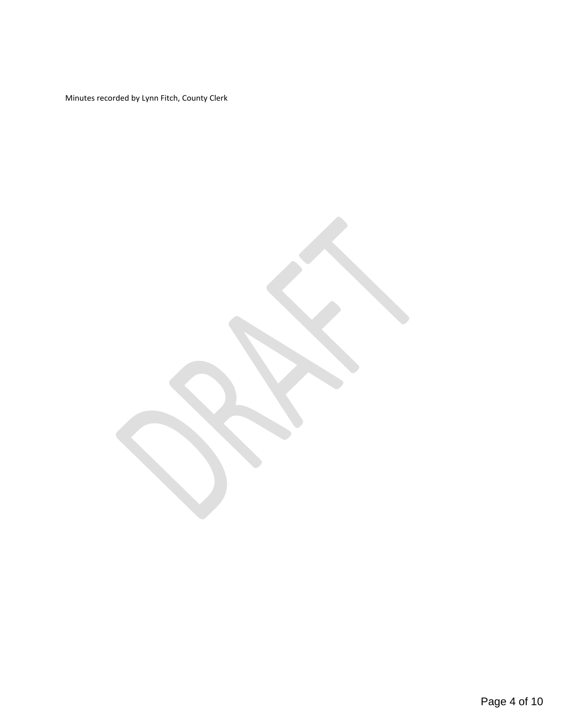Minutes recorded by Lynn Fitch, County Clerk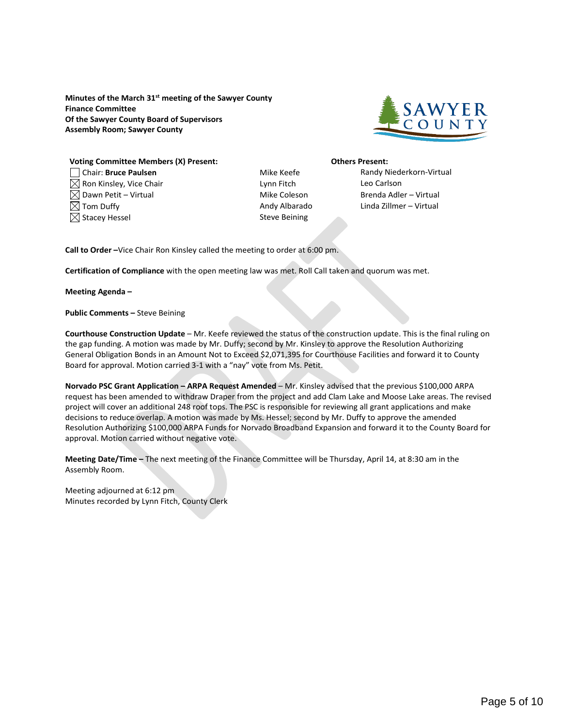<span id="page-4-0"></span>**Minutes of the March 31st meeting of the Sawyer County Finance Committee Of the Sawyer County Board of Supervisors Assembly Room; Sawyer County**



#### **Voting Committee Members (X) Present: Others Present:** Chair: **Bruce Paulsen** Mike Keefe Randy Niederkorn-Virtual  $\boxtimes$  Ron Kinsley, Vice Chair  $\blacksquare$  Lynn Fitch Leo Carlson

- $\boxtimes$  Dawn Petit Virtual  $\blacksquare$  Dawn Petit Virtual  $\blacksquare$  $\boxtimes$  Tom Duffy  $\blacksquare$  Tom Duffy Andy Albarado Linda Zillmer – Virtual  $\boxtimes$  Stacey Hessel Steve Beining
- 

**Call to Order –**Vice Chair Ron Kinsley called the meeting to order at 6:00 pm.

**Certification of Compliance** with the open meeting law was met. Roll Call taken and quorum was met.

**Meeting Agenda –**

**Public Comments –** Steve Beining

**Courthouse Construction Update** – Mr. Keefe reviewed the status of the construction update. This is the final ruling on the gap funding. A motion was made by Mr. Duffy; second by Mr. Kinsley to approve the Resolution Authorizing General Obligation Bonds in an Amount Not to Exceed \$2,071,395 for Courthouse Facilities and forward it to County Board for approval. Motion carried 3-1 with a "nay" vote from Ms. Petit.

**Norvado PSC Grant Application – ARPA Request Amended** – Mr. Kinsley advised that the previous \$100,000 ARPA request has been amended to withdraw Draper from the project and add Clam Lake and Moose Lake areas. The revised project will cover an additional 248 roof tops. The PSC is responsible for reviewing all grant applications and make decisions to reduce overlap. A motion was made by Ms. Hessel; second by Mr. Duffy to approve the amended Resolution Authorizing \$100,000 ARPA Funds for Norvado Broadband Expansion and forward it to the County Board for approval. Motion carried without negative vote.

**Meeting Date/Time –** The next meeting of the Finance Committee will be Thursday, April 14, at 8:30 am in the Assembly Room.

Meeting adjourned at 6:12 pm Minutes recorded by Lynn Fitch, County Clerk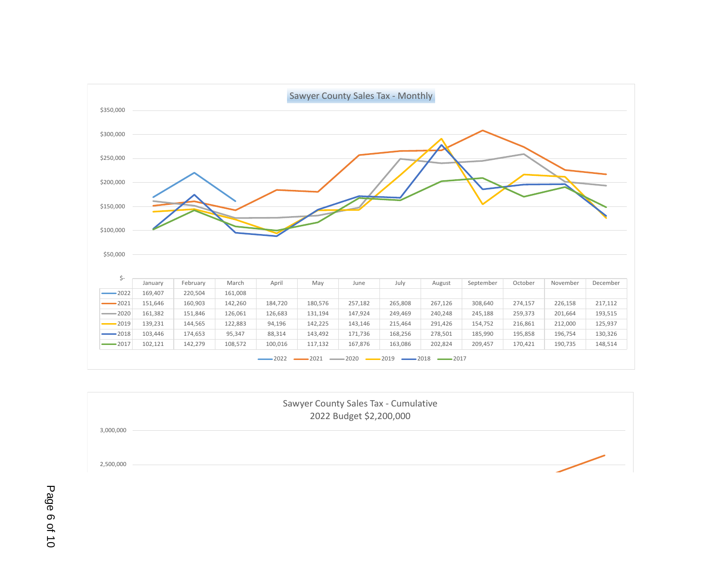<span id="page-5-0"></span>

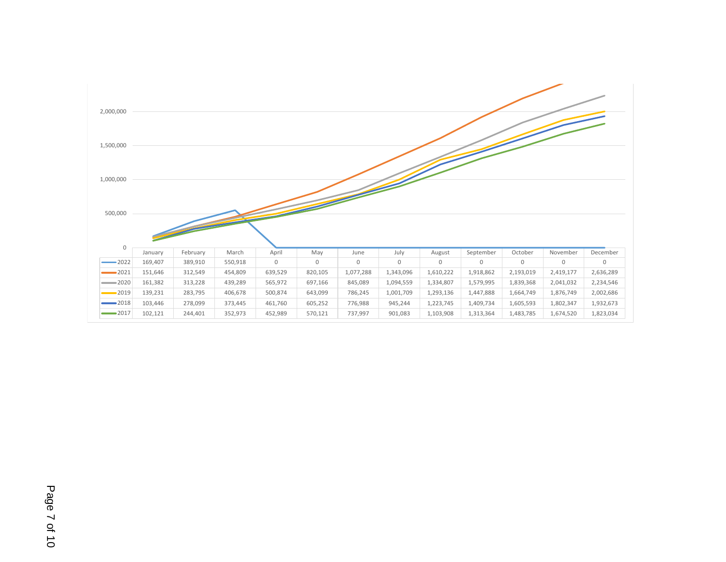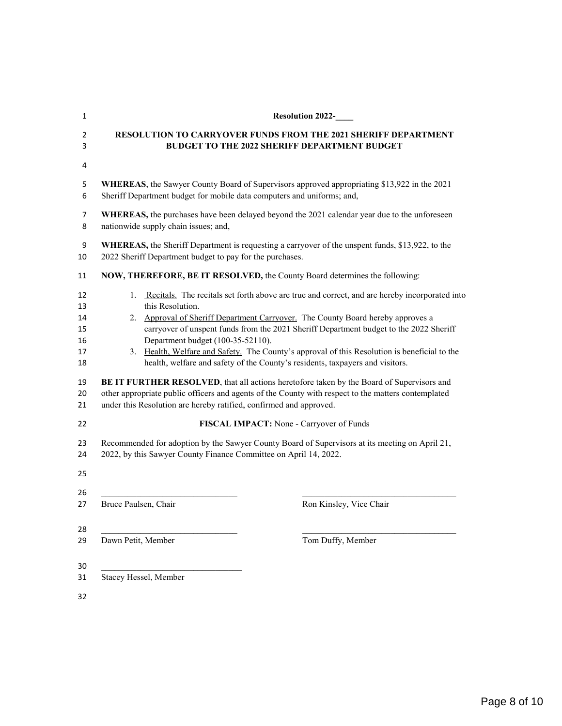<span id="page-7-0"></span>

| 1        | <b>Resolution 2022-</b>                                                                             |  |  |
|----------|-----------------------------------------------------------------------------------------------------|--|--|
| 2        | <b>RESOLUTION TO CARRYOVER FUNDS FROM THE 2021 SHERIFF DEPARTMENT</b>                               |  |  |
| 3        | <b>BUDGET TO THE 2022 SHERIFF DEPARTMENT BUDGET</b>                                                 |  |  |
| 4        |                                                                                                     |  |  |
| 5        | WHEREAS, the Sawyer County Board of Supervisors approved appropriating \$13,922 in the 2021         |  |  |
| 6        | Sheriff Department budget for mobile data computers and uniforms; and,                              |  |  |
| 7        | WHEREAS, the purchases have been delayed beyond the 2021 calendar year due to the unforeseen        |  |  |
| 8        | nationwide supply chain issues; and,                                                                |  |  |
| 9        | WHEREAS, the Sheriff Department is requesting a carryover of the unspent funds, \$13,922, to the    |  |  |
| 10       | 2022 Sheriff Department budget to pay for the purchases.                                            |  |  |
| 11       | NOW, THEREFORE, BE IT RESOLVED, the County Board determines the following:                          |  |  |
| 12       | 1. Recitals. The recitals set forth above are true and correct, and are hereby incorporated into    |  |  |
| 13       | this Resolution.                                                                                    |  |  |
| 14       | 2. Approval of Sheriff Department Carryover. The County Board hereby approves a                     |  |  |
| 15       | carryover of unspent funds from the 2021 Sheriff Department budget to the 2022 Sheriff              |  |  |
| 16       | Department budget (100-35-52110).                                                                   |  |  |
| 17       | 3. Health, Welfare and Safety. The County's approval of this Resolution is beneficial to the        |  |  |
| 18       | health, welfare and safety of the County's residents, taxpayers and visitors.                       |  |  |
| 19       | BE IT FURTHER RESOLVED, that all actions heretofore taken by the Board of Supervisors and           |  |  |
| 20       | other appropriate public officers and agents of the County with respect to the matters contemplated |  |  |
| 21       | under this Resolution are hereby ratified, confirmed and approved.                                  |  |  |
| 22       | FISCAL IMPACT: None - Carryover of Funds                                                            |  |  |
| 23       | Recommended for adoption by the Sawyer County Board of Supervisors at its meeting on April 21,      |  |  |
| 24       | 2022, by this Sawyer County Finance Committee on April 14, 2022.                                    |  |  |
| 25       |                                                                                                     |  |  |
| 26       | Bruce Paulsen, Chair                                                                                |  |  |
| 27       | Ron Kinsley, Vice Chair                                                                             |  |  |
| 28       | Dawn Petit, Member                                                                                  |  |  |
| 29       | Tom Duffy, Member                                                                                   |  |  |
| 30<br>31 | Stacey Hessel, Member                                                                               |  |  |
| 32       |                                                                                                     |  |  |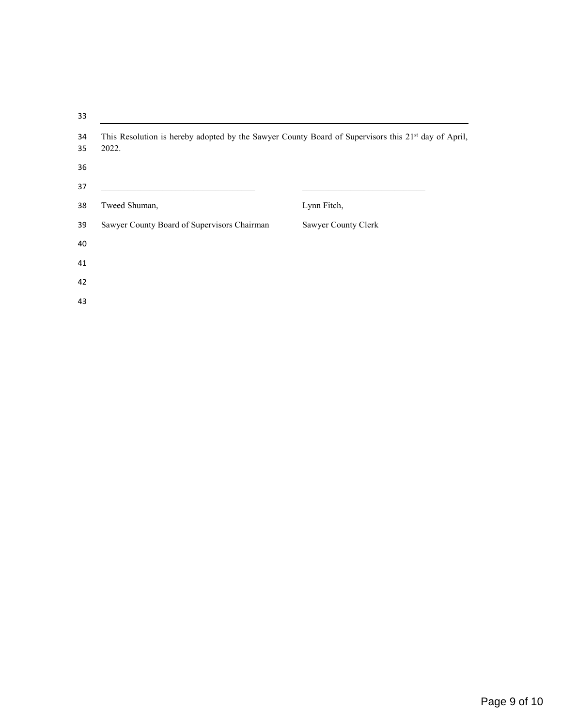| 33       |                                                                                                                          |                     |  |
|----------|--------------------------------------------------------------------------------------------------------------------------|---------------------|--|
| 34<br>35 | This Resolution is hereby adopted by the Sawyer County Board of Supervisors this 21 <sup>st</sup> day of April,<br>2022. |                     |  |
| 36       |                                                                                                                          |                     |  |
| 37       |                                                                                                                          |                     |  |
| 38       | Tweed Shuman,                                                                                                            | Lynn Fitch,         |  |
| 39       | Sawyer County Board of Supervisors Chairman                                                                              | Sawyer County Clerk |  |
| 40       |                                                                                                                          |                     |  |
| 41       |                                                                                                                          |                     |  |
| 42       |                                                                                                                          |                     |  |
| 43       |                                                                                                                          |                     |  |